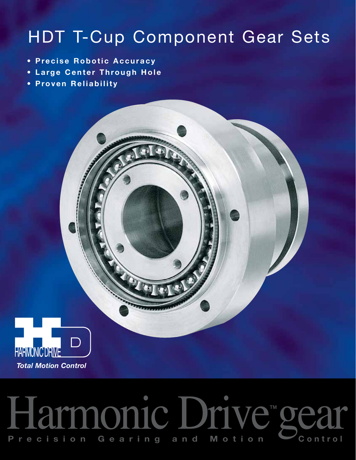# HDT T-Cup Component Gear Sets

- **Precise Robotic Accuracy**
- **Large Center Through Hole**
- **Proven Reliability**



# Harmonic Drive™gear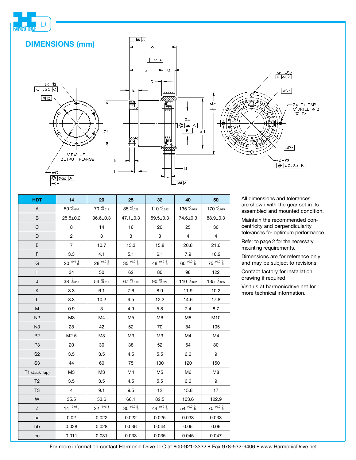

| <b>HDT</b>     | 14                 | 20                 | 25                 | 32                 | 40                     | 50                 |
|----------------|--------------------|--------------------|--------------------|--------------------|------------------------|--------------------|
| A              | $50^{+0.016}$      | $70^{+0.019}$      | $85^{+0.022}$      | $110^{+0.022}$     | $135^{+0.025}$         | $170^{+0.025}$     |
| B              | $25.5 \pm 0.2$     | $36.6 \pm 0.3$     | $47.1 \pm 0.3$     | $59.5 \pm 0.3$     | 74.6±0.3               | $88.9 \pm 0.3$     |
| C              | 8                  | 14                 | 16                 | 20                 | 25                     | 30                 |
| D              | $\overline{2}$     | 3                  | 3                  | 3                  | $\overline{4}$         | $\overline{4}$     |
| E              | $\overline{7}$     | 10.7               | 13.3<br>15.8       |                    | 20.8                   | 21.6               |
| F              | 3.3                | 4.1                | 5.1                | 6.1                | 7.9                    | 10.2               |
| G              | $20^{+0.013}_{-0}$ | $28^{+0.013}_{-0}$ | $35^{+0.016}_{-0}$ | $48^{+0.016}_{-0}$ | $60^{+0.019}_{-0}$     | $75^{+0.019}_{-0}$ |
| H              | 34                 | 50                 | 62                 | 80                 | 98                     | 122                |
| J              | $38^{+0.016}$      | $54^{+0.019}$      | $67^{+0.019}$      | $90^{+0.022}$      | $110^{+0.022}$         | $135^{+0.025}$     |
| Κ              | 3.3                | 6.1                | 7.6                | 8.9                | 11.9                   | 10.2               |
| L              | 8.3                | 10.2               | 9.5                | 12.2               | 14.6                   | 17.8               |
| M              | 0.9                | 3                  | 4.9                | 5.8                | 7.4                    | 8.7                |
| N2             | M3                 | M4                 | M <sub>5</sub>     | M <sub>6</sub>     | M8                     | M10                |
| N <sub>3</sub> | 28                 | 42                 | 52                 | 70                 | 84                     | 105                |
| P <sub>2</sub> | M2.5               | M <sub>3</sub>     | M3                 | M3                 | M4                     | M4                 |
| P <sub>3</sub> | 20                 | 30                 | 38                 | 52                 | 64                     | 80                 |
| S <sub>2</sub> | 3.5                | 3.5                | 4.5                | 5.5                | 6.6                    | 9                  |
| S <sub>3</sub> | 44                 | 60                 | 75                 | 100                | 120                    | 150                |
| T1 (Jack Tap)  | M <sub>3</sub>     | M <sub>3</sub>     | M4                 | M <sub>5</sub>     | M <sub>6</sub>         | M8                 |
| T <sub>2</sub> | 3.5                | 3.5                | 4.5                | 5.5                | 6.6                    | 9                  |
| T <sub>3</sub> | $\overline{4}$     | 9.1                | 9.5                | 12                 | 15.8                   | 17                 |
| W              | 35.5               | 53.6               | 66.1               | 82.5               | 103.6                  | 122.9              |
| Z              | $14^{+0.011}_{-0}$ | $22^{+0.013}_{-0}$ | $30^{+0.013}$      | 44 +0.016          | $54^{+0.019}_{-0.019}$ | $70^{+0.019}$      |
| aa             | 0.02               | 0.022              | 0.022              | 0.025              | 0.033                  | 0.033              |
| bb             | 0.028              | 0.028              | 0.036              | 0.044              | 0.05                   | 0.06               |
| $_{\rm CC}$    | 0.011              | 0.031              | 0.033              | 0.035              | 0.045                  | 0.047              |

All dimensions and tolerances are shown with the gear set in its assembled and mounted condition.

Maintain the recommended concentricity and perpendicularity tolerances for optimum performance.

Refer to page 2 for the necessary mounting requirements.

Dimensions are for reference only and may be subject to revisions.

Contact factory for installation drawing if required.

Visit us at harmonicdrive.net for more technical information.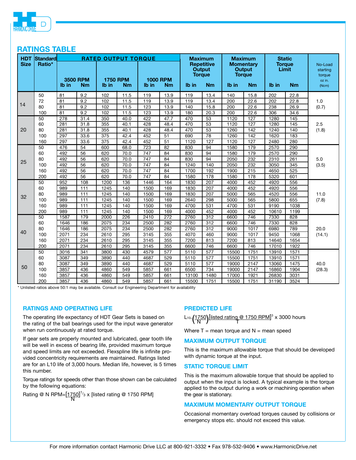

# **RATINGS TABLE**

| <b>HDT</b><br><b>Size</b> | Standard<br>Ratio* | <b>RATED OUTPUT TORQUE</b> |                              |                          |           |       |                              | <b>Maximum</b><br><b>Repetitive</b><br><b>Output</b> |           | <b>Maximum</b><br><b>Momentary</b><br><b>Output</b> |                            | <b>Static</b><br><b>Torque</b><br>Limit |           | No-Load<br>starting       |
|---------------------------|--------------------|----------------------------|------------------------------|--------------------------|-----------|-------|------------------------------|------------------------------------------------------|-----------|-----------------------------------------------------|----------------------------|-----------------------------------------|-----------|---------------------------|
|                           |                    | Ib in                      | <b>3500 RPM</b><br><b>Nm</b> | <b>1750 RPM</b><br>Ib in | <b>Nm</b> | Ib in | <b>1000 RPM</b><br><b>Nm</b> | <b>Torque</b><br>Ib in                               | <b>Nm</b> | Ib in                                               | <b>Torque</b><br><b>Nm</b> | Ib in                                   | <b>Nm</b> | torque<br>oz in.<br>(Ncm) |
| 14                        | 50                 | 81                         | 9.2                          | 102                      | 11.5      | 119   | 13.9                         | 119                                                  | 13.4      | 140                                                 | 15.8                       | 202                                     | 22.8      |                           |
|                           | 72                 | 81                         | 9.2                          | 102                      | 11.5      | 119   | 13.9                         | 119                                                  | 13.4      | 200                                                 | 22.6                       | 202                                     | 22.8      | 1.0                       |
|                           | 80                 | 81                         | 9.2                          | 102                      | 11.5      | 123   | 13.9                         | 140                                                  | 15.8      | 200                                                 | 22.6                       | 238                                     | 26.9      | (0.7)                     |
|                           | 100                | 81                         | 9.2                          | 102                      | 11.5      | 123   | 13.9                         | 180                                                  | 20.3      | 200                                                 | 22.6                       | 306                                     | 34.6      |                           |
|                           | 50                 | 278                        | 31.4                         | 350                      | 40.0      | 422   | 47.7                         | 470                                                  | 53        | 1120                                                | $\overline{127}$           | 1280                                    | 145       | 2.5<br>(1.8)              |
|                           | 60                 | 281                        | 31.8                         | 355                      | 40.1      | 428   | 48.4                         | 470                                                  | 53        | 1120                                                | 127                        | 1280                                    | 145       |                           |
| 20                        | 80                 | 281                        | 31.8                         | 355                      | 40.1      | 428   | 48.4                         | 470                                                  | 53        | 1260                                                | 142                        | 1240                                    | 140       |                           |
|                           | 100                | 297                        | 33.6                         | 375                      | 42.4      | 452   | 51                           | 690                                                  | 78        | 1260                                                | 142                        | 1620                                    | 183       |                           |
|                           | 160                | 297                        | 33.6                         | 375                      | 42.4      | 452   | 51                           | 1120                                                 | 127       | 1120                                                | 127                        | 2480                                    | 280       |                           |
| 25                        | 50                 | 476                        | 54                           | 600                      | 68.0      | 723   | $\overline{82}$              | 830                                                  | 94        | 1580                                                | 179                        | 2570                                    | 290       |                           |
|                           | 60                 | 492                        | 56                           | 620                      | 70.0      | 747   | 84                           | 830                                                  | 94        | 1580                                                | 179                        | 2570                                    | 290       |                           |
|                           | 80                 | 492                        | 56                           | 620                      | 70.0      | 747   | 84                           | 830                                                  | 94        | 2050                                                | 232                        | 2310                                    | 261       | 5.0<br>(3.5)              |
|                           | 100                | 492                        | 56                           | 620                      | 70.0      | 747   | 84                           | 1240                                                 | 140       | 2050                                                | 232                        | 3050                                    | 345       |                           |
|                           | 160                | 492                        | 56                           | 620                      | 70.0      | 747   | 84                           | 1700                                                 | 192       | 1900                                                | 215                        | 4650                                    | 525       |                           |
|                           | 200                | 492                        | 56                           | 620                      | 70.0      | 747   | 84                           | 1580                                                 | 178       | 1580                                                | 178                        | 5320                                    | 601       |                           |
|                           | 50                 | 952                        | 108                          | 1200                     | 136       | 1446  | 164                          | 1830                                                 | 207       | 4000                                                | 452                        | 4920                                    | 556       | 11.0<br>(7.8)             |
|                           | 60                 | 989                        | 111                          | 1245                     | 140       | 1500  | 169                          | 1830                                                 | 207       | 4000                                                | 452                        | 4920                                    | 556       |                           |
| 32                        | 80                 | 989                        | 111                          | 1245                     | 140       | 1500  | 169                          | 1830                                                 | 207       | 5000                                                | 565                        | 4520                                    | 556       |                           |
|                           | 100                | 989                        | 111                          | 1245                     | 140       | 1500  | 169                          | 2640                                                 | 298       | 5000                                                | 565                        | 5800                                    | 655       |                           |
|                           | 160                | 989                        | 111                          | 1245                     | 140       | 1500  | 169                          | 4700                                                 | 531       | 4700                                                | 531                        | 9190                                    | 1038      |                           |
|                           | 200                | 989                        | 111                          | 1245                     | 140       | 1500  | 169                          | 4000                                                 | 452       | 4000                                                | 452                        | 10610                                   | 1199      |                           |
|                           | 50                 | 1587                       | 179                          | 2000                     | 226       | 2410  | 272                          | 2760                                                 | 312       | 6600                                                | 746                        | 7330                                    | 828       | 20.0<br>(14.1)            |
|                           | 60                 | 1646                       | 186                          | 2075                     | 234       | 2500  | 282                          | 2760                                                 | 312       | 6600                                                | 746                        | 7330                                    | 828       |                           |
| 40                        | 80                 | 1646                       | 186                          | 2075                     | 234       | 2500  | 282                          | 2760                                                 | 312       | 9000                                                | 1017                       | 6980                                    | 789       |                           |
|                           | 100                | 2071                       | 234                          | 2610                     | 295       | 3145  | 355                          | 4070                                                 | 460       | 9000                                                | 1017                       | 9450                                    | 1068      |                           |
|                           | 160                | 2071                       | 234                          | 2610                     | 295       | 3145  | 355                          | 7200                                                 | 813       | 7200                                                | 813                        | 14640                                   | 1654      |                           |
|                           | 200                | 2071                       | 234                          | 2610                     | 295       | 3145  | 355                          | 6600                                                 | 746       | 6600                                                | 746                        | 17010                                   | 1922      |                           |
| 50                        | 50                 | 3016                       | 341                          | 3800                     | 430       | 4579  | 577                          | 5110                                                 | 577       | 15500                                               | 1751                       | 13910                                   | 1571      |                           |
|                           | 60                 | 3087                       | 349                          | 3890                     | 440       | 4687  | 529                          | 5110                                                 | 577       | 15500                                               | 1751                       | 13910                                   | 1571      |                           |
|                           | 80                 | 3087                       | 349                          | 3890                     | 440       | 4687  | 529                          | 5110                                                 | 577       | 19000                                               | 2147                       | 13060                                   | 1475      | 40.0                      |
|                           | 100                | 3857                       | 436                          | 4860                     | 549       | 5857  | 661                          | 6500                                                 | 734       | 19000                                               | 2147                       | 16860                                   | 1904      | (28.3)                    |
|                           | 160                | 3857                       | 436                          | 4860                     | 549       | 5857  | 661                          | 13100                                                | 1480      | 17000                                               | 1921                       | 26830                                   | 3031      |                           |
|                           | 200                | 3857                       | 436                          | 4860                     | 549       | 5857  | 661                          | 15500                                                | 1751      | 15500                                               | 1751                       | 31190                                   | 3524      |                           |

\* Unlisted ratios above 50:1 may be available. Consult our Engineering Department for availability

# **RATINGS AND OPERATING LIFE**

The operating life expectancy of HDT Gear Sets is based on the rating of the ball bearings used for the input wave generator when run continuously at rated torque.

If gear sets are properly mounted and lubricated, gear tooth life will be well in excess of bearing life, provided maximum torque and speed limits are not exceeded. Flexspline life is infinite provided concentricity requirements are maintained. Ratings listed are for an L10 life of 3,000 hours. Median life, however, is 5 times this number.

Torque ratings for speeds other than those shown can be calculated by the following equations:

Rating @ N RPM= $\frac{[1750]}{N}$ <sup>1</sup>/3 x [listed rating @ 1750 RPM]

# **PREDICTED LIFE**

L<sub>10=</sub>(1750) [listed rating @ 1750 RPM]<sup>3</sup> x 3000 hours  $\sqrt{N}$  T

Where  $T =$  mean torque and  $N =$  mean speed

# **MAXIMUM OUTPUT TORQUE**

This is the maximum allowable torque that should be developed with dynamic torque at the input.

#### **STATIC TORQUE LIMIT**

This is the maximum allowable torque that should be applied to output when the input is locked. A typical example is the torque applied to the output during a work or machining operation when the gear is stationary.

#### **MAXIMUM MOMENTARY OUTPUT TORQUE**

Occasional momentary overload torques caused by collisions or emergency stops etc. should not exceed this value.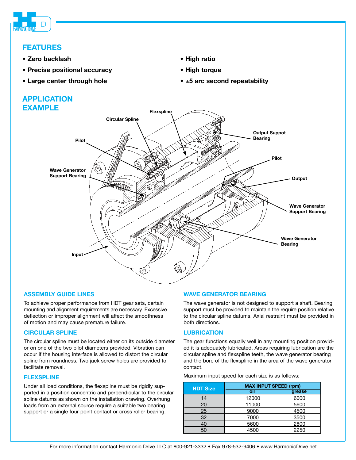

# **FEATURES**

- **Zero backlash**
- **Precise positional accuracy**
- **Large center through hole**

# **APPLICATION EXAMPLE**



**• High ratio • High torque**

**• ±5 arc second repeatability** 

# **ASSEMBLY GUIDE LINES**

To achieve proper performance from HDT gear sets, certain mounting and alignment requirements are necessary. Excessive deflection or improper alignment will affect the smoothness of motion and may cause premature failure.

# **CIRCULAR SPLINE**

The circular spline must be located either on its outside diameter or on one of the two pilot diameters provided. Vibration can occur if the housing interface is allowed to distort the circular spline from roundness. Two jack screw holes are provided to facilitate removal.

#### **FLEXSPLINE**

Under all load conditions, the flexspline must be rigidly supported in a position concentric and perpendicular to the circular spline datums as shown on the installation drawing. Overhung loads from an external source require a suitable two bearing support or a single four point contact or cross roller bearing.

# **WAVE GENERATOR BEARING**

The wave generator is not designed to support a shaft. Bearing support must be provided to maintain the require position relative to the circular spline datums. Axial restraint must be provided in both directions.

# **LUBRICATION**

The gear functions equally well in any mounting position provided it is adequately lubricated. Areas requiring lubrication are the circular spline and flexspline teeth, the wave generator bearing and the bore of the flexspline in the area of the wave generator contact.

Maximum input speed for each size is as follows:

| <b>HDT Size</b> | <b>MAX INPUT SPEED (rpm)</b> |        |  |  |  |  |  |
|-----------------|------------------------------|--------|--|--|--|--|--|
|                 | oil                          | grease |  |  |  |  |  |
| 14              | 12000                        | 6000   |  |  |  |  |  |
| 20              | 11000                        | 5600   |  |  |  |  |  |
| 25              | 9000                         | 4500   |  |  |  |  |  |
| 32              | 7000                         | 3500   |  |  |  |  |  |
| 40              | 5600                         | 2800   |  |  |  |  |  |
| 50              | 4500                         | 2250   |  |  |  |  |  |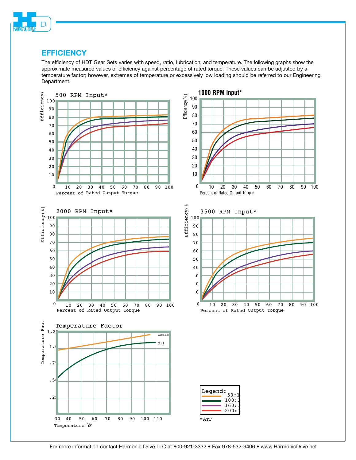

# **EFFICIENCY**

The efficiency of HDT Gear Sets varies with speed, ratio, lubrication, and temperature. The following graphs show the approximate measured values of efficiency against percentage of rated torque. These values can be adjusted by a temperature factor; however, extremes of temperature or excessively low loading should be referred to our Engineering Department.

60:1

2001 160:1 100:1

200:1 160:1 100:1